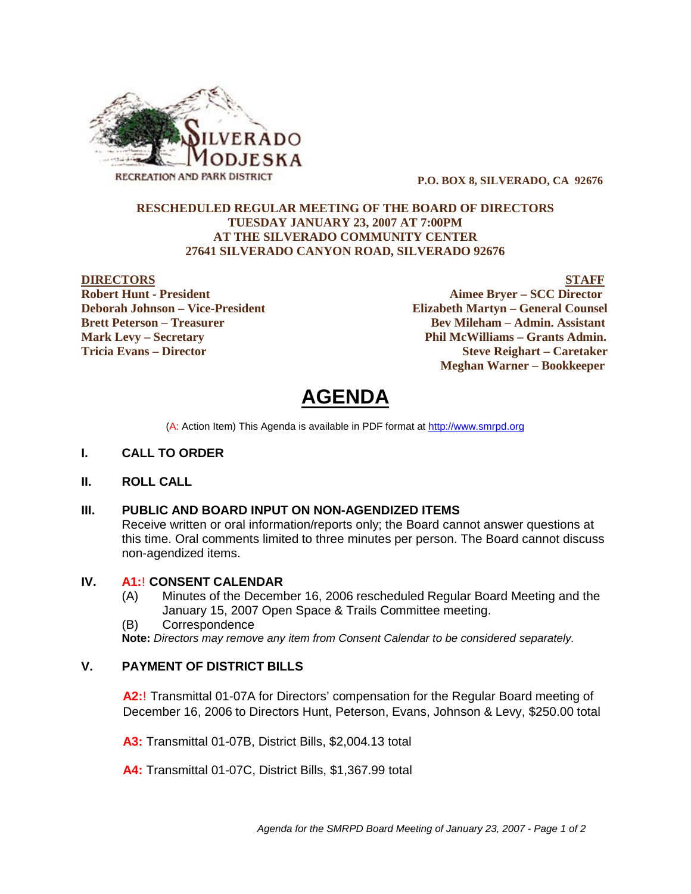

 **P.O. BOX 8, SILVERADO, CA 92676**

#### **RESCHEDULED REGULAR MEETING OF THE BOARD OF DIRECTORS TUESDAY JANUARY 23, 2007 AT 7:00PM AT THE SILVERADO COMMUNITY CENTER 27641 SILVERADO CANYON ROAD, SILVERADO 92676**

**DIRECTORS**<br>
Robert Hunt - President<br>
Robert Hunt - President **Aimee Bryer – SCC Director Deborah Johnson – Vice-President Elizabeth Martyn – General Counsel Brett Peterson – Treasurer Serverson – Bev Mileham – Admin. Assistant Mark Levy – Secretary Phil McWilliams – Grants Admin. Tricia Evans – Director Steve Reighart – Caretaker Meghan Warner – Bookkeeper**

# **AGENDA**

(A: Action Item) This Agenda is available in PDF format at http://www.smrpd.org

- **I. CALL TO ORDER**
- **II. ROLL CALL**

# **III. PUBLIC AND BOARD INPUT ON NON-AGENDIZED ITEMS**

Receive written or oral information/reports only; the Board cannot answer questions at this time. Oral comments limited to three minutes per person. The Board cannot discuss non-agendized items.

#### **IV. A1:**! **CONSENT CALENDAR**

- (A) Minutes of the December 16, 2006 rescheduled Regular Board Meeting and the January 15, 2007 Open Space & Trails Committee meeting.
- (B) Correspondence

**Note:** *Directors may remove any item from Consent Calendar to be considered separately.*

# **V. PAYMENT OF DISTRICT BILLS**

**A2:**! Transmittal 01-07A for Directors' compensation for the Regular Board meeting of December 16, 2006 to Directors Hunt, Peterson, Evans, Johnson & Levy, \$250.00 total

**A3:** Transmittal 01-07B, District Bills, \$2,004.13 total

**A4:** Transmittal 01-07C, District Bills, \$1,367.99 total